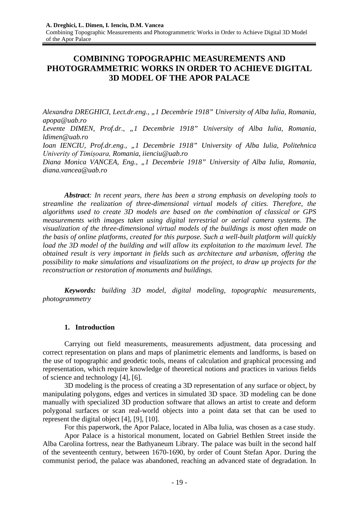# **COMBINING TOPOGRAPHIC MEASUREMENTS AND PHOTOGRAMMETRIC WORKS IN ORDER TO ACHIEVE DIGITAL 3D MODEL OF THE APOR PALACE**

*Alexandra DREGHICI, Lect.dr.eng., "1 Decembrie 1918" University of Alba Iulia, Romania, apopa@uab.ro Levente DIMEN, Prof.dr., "1 Decembrie 1918" University of Alba Iulia, Romania, ldimen@uab.ro Ioan IENCIU, Prof.dr.eng., "1 Decembrie 1918" University of Alba Iulia, Politehnica Univerity of Timișoara, Romania, iienciu@uab.ro Diana Monica VANCEA, Eng., "1 Decembrie 1918" University of Alba Iulia, Romania, diana.vancea@uab.ro*

*Abstract: In recent years, there has been a strong emphasis on developing tools to streamline the realization of three-dimensional virtual models of cities. Therefore, the algorithms used to create 3D models are based on the combination of classical or GPS measurements with images taken using digital terrestrial or aerial camera systems. The visualization of the three-dimensional virtual models of the buildings is most often made on the basis of online platforms, created for this purpose. Such a well-built platform will quickly* load the 3D model of the building and will allow its exploitation to the maximum level. The *obtained result is very important in fields such as architecture and urbanism, offering the possibility to make simulations and visualizations on the project, to draw up projects for the reconstruction or restoration of monuments and buildings.*

*Keywords: building 3D model, digital modeling, topographic measurements, photogrammetry*

# **1. Introduction**

Carrying out field measurements, measurements adjustment, data processing and correct representation on plans and maps of planimetric elements and landforms, is based on the use of topographic and geodetic tools, means of calculation and graphical processing and representation, which require knowledge of theoretical notions and practices in various fields of science and technology [4], [6].

3D modeling is the process of creating a 3D representation of any surface or object, by manipulating polygons, edges and vertices in simulated 3D space. 3D modeling can be done manually with specialized 3D production software that allows an artist to create and deform polygonal surfaces or scan real-world objects into a point data set that can be used to represent the digital object [4], [9], [10].

For this paperwork, the Apor Palace, located in Alba Iulia, was chosen as a case study.

Apor Palace is a historical monument, located on Gabriel Bethlen Street inside the Alba Carolina fortress, near the Bathyaneum Library. The palace was built in the second half of the seventeenth century, between 1670-1690, by order of Count Stefan Apor. During the communist period, the palace was abandoned, reaching an advanced state of degradation. In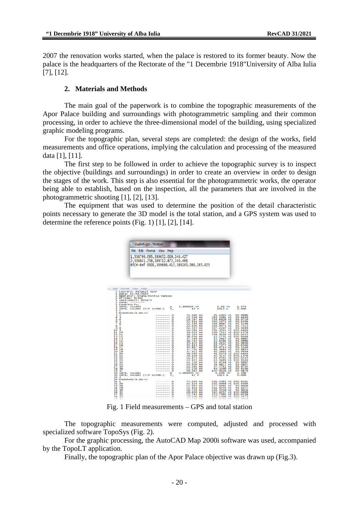2007 the renovation works started, when the palace is restored to its former beauty. Now the palace is the headquarters of the Rectorate of the "1 Decembrie 1918"University of Alba Iulia [7], [12].

# **2. Materials and Methods**

The main goal of the paperwork is to combine the topographic measurements of the Apor Palace building and surroundings with photogrammetric sampling and their common processing, in order to achieve the three-dimensional model of the building, using specialized graphic modeling programs.

For the topographic plan, several steps are completed: the design of the works, field measurements and office operations, implying the calculation and processing of the measured data [1], [11].

The first step to be followed in order to achieve the topographic survey is to inspect the objective (buildings and surroundings) in order to create an overview in order to design the stages of the work. This step is also essential for the photogrammetric works, the operator being able to establish, based on the inspection, all the parameters that are involved in the photogrammetric shooting [1], [2], [13].

The equipment that was used to determine the position of the detail characteristic points necessary to generate the 3D model is the total station, and a GPS system was used to determine the reference points (Fig. 1) [1], [2], [14].

| studenti.gps - Notepad                                          |                                                                    |                                                                         |                                                                  |                      |
|-----------------------------------------------------------------|--------------------------------------------------------------------|-------------------------------------------------------------------------|------------------------------------------------------------------|----------------------|
| File Edit Format View                                           | Help                                                               |                                                                         |                                                                  |                      |
|                                                                 |                                                                    |                                                                         |                                                                  |                      |
|                                                                 | 1,508799.095,389652.009,240.427<br>2,508841.258,389712.872,240.466 |                                                                         |                                                                  |                      |
|                                                                 |                                                                    | RTCM-Ref 0001,509666.412,389245.086,265.425                             |                                                                  |                      |
|                                                                 |                                                                    |                                                                         |                                                                  |                      |
|                                                                 |                                                                    |                                                                         |                                                                  |                      |
|                                                                 |                                                                    |                                                                         |                                                                  |                      |
|                                                                 |                                                                    |                                                                         |                                                                  |                      |
| Edit<br>Format View Help<br>Lucrare: Palatul<br>1               | Apor                                                               |                                                                         |                                                                  |                      |
| 1.<br>Data: 11/03/2020<br>ı<br>Operator: Diana-Monica Vancea    |                                                                    |                                                                         |                                                                  |                      |
| Prisma: TC302<br>ı<br>1<br>Instrument: 855170                   |                                                                    |                                                                         |                                                                  |                      |
| ı<br>Zona: ------<br>ı<br>Comentariu:                           | m                                                                  | 1.000000 th                                                             | $1.40$ ih                                                        | 1.476                |
| Outnumm<br>INTR. VALORI<br>INTR. VALORI (T/P AUTOM.)<br>٦       | т.,                                                                | 12P                                                                     | 1013A                                                            | 0.000                |
| MASURARE/E-HZ-V/                                                | Ð                                                                  | HZ                                                                      |                                                                  | 99.9990              |
| <b>Number</b>                                                   | D<br>D                                                             | 74.040<br>25.596<br>19.387<br>22.116<br>HZ<br>нz                        | 61.4303 V1<br>344.2091 V1<br>v1                                  | 99.6630<br>99.9710   |
| ž<br>6                                                          | Đ<br>Đ                                                             | HZ<br>21.246<br>HZ                                                      | 354.6826<br>366.1671<br>V1<br>368.8667<br>$\mathsf{v}\mathsf{1}$ | 99.6556<br>99.5146   |
| $\overline{\mathbf{8}}$<br>Ž<br>ğ<br>s                          | D                                                                  | 21.690<br>нz                                                            | 369.8975<br>$_{\rm v1}$                                          | 99.7215<br>99.9489   |
| 10 9                                                            | D<br>D<br>--------                                                 | 22.545<br>40.581<br>нz<br>нz                                            | 367.2107<br>v1<br>391.3244<br>V1                                 | 100.4840             |
| 11<br>10<br>13<br>11                                            | Đ<br>--------<br>D<br>--------                                     | 39.052<br>HZ<br>39.354<br>нz                                            | 398.7444<br>$\sqrt{1}$<br>398.9450<br>$\vee$ 1                   | 100.1378<br>100.0433 |
| 12<br>14, 13                                                    | D<br>--------<br>D<br>--------                                     | 38.034<br>нz<br>37.749<br>Hz                                            | 12.1721<br>V1<br>12.2842<br>$\vee$ 1                             | 100.9546<br>99.9882  |
| 15<br>14<br>16<br>15                                            | Đ<br>--------<br>Ð                                                 | 36.763<br>Hz<br>нz                                                      | 15.6594<br>$\sqrt{1}$<br>18.2437<br>V1                           | 99.9990<br>99.9850   |
| 17<br>16<br>18 17                                               | D<br>D                                                             | 35.105<br>35.115<br>HZ<br>34.817<br>Hz                                  | 18.7377<br>$\vee$ 1<br>18.8743<br>$\mathsf{v1}$                  | 99.6546<br>99.5146   |
| 19 18<br>20 19                                                  | Đ<br>Ð                                                             | 37.701<br>Hz<br>нz                                                      | 41.3463<br>V1<br>$\sqrt{1}$                                      | 99.9855<br>99.9959   |
| 20<br>21<br>21                                                  | --------<br>D<br>--------                                          | 37.923<br>38.090<br>нz<br>40.199                                        | 41.2403<br>41.6379<br>42.5157<br>44.6764<br>$\vee$ 1             | 100.4840             |
| 22<br>23<br>22                                                  | D<br>Đ<br>--------<br>--------                                     | нz<br>41.873<br>нz                                                      | V1<br>V1                                                         | 100.1378<br>100.0433 |
| 24<br>23<br>25<br>24                                            | Ð<br>--------<br>D                                                 |                                                                         | 44.5695<br>54.6748<br>$\vee$ 1<br>$\vee$ 1                       | 100.9546<br>99.9992  |
| 26<br>žš<br>35<br>27                                            | --------<br>D<br>Đ                                                 |                                                                         | 54.9817<br>$\vee$ 1<br>27.7742<br>$\sqrt{1}$                     | 99.9821<br>99.9754   |
| 28<br>36<br>29<br>37                                            | Ð<br>D                                                             | 42.105 Hz<br>44.204 Hz<br>45.950 Hz<br>11.541 Hz<br>13.226 Hz<br>48.985 | 49.3290<br>$\sqrt{1}$<br>100.0026 V1                             | 99.8556<br>99.9876   |
| 30<br><b>VALORI</b><br>INTR.<br>30<br>INTR. VALORI (T/P AUTOM.) | m<br>т.,                                                           | 1.000000 th<br>12P                                                      | $1.400$ ih<br>1013 A                                             | 1.396<br>0.000       |
| 30<br>2<br>30<br>MASURARE/E-HZ-V/                               |                                                                    |                                                                         |                                                                  |                      |
| 31<br>$\frac{1}{26}$<br>32                                      | D<br>Ð<br>--------                                                 | 74.040<br>нz<br>24.129<br>нz                                            | 261.4303 V1<br>260.0968 V1                                       | 100.0101<br>100.9300 |
| 28<br>33<br>34 29                                               | Đ<br>Ð                                                             | 12.663<br>HZ<br>11.854<br>HZ                                            | 277.8204<br>$\mathsf{v}\mathsf{1}$<br>284.8235<br>$\sqrt{1}$     | 99.9606<br>99.9411   |
| 35 30                                                           | Ð                                                                  | 16.709 HZ                                                               | 294.3339<br>$\vee$ 1                                             | 99.9016              |
| 36<br>31<br>37<br>32                                            | Ð<br>Đ                                                             | 49.830<br>нz<br>75.742<br>НZ                                            | 342.6357<br>$\mathsf{v1}$<br>333.7095<br>V1                      | 100.0099<br>100.0238 |
| 38<br>33<br>39<br>34                                            | Ð<br>Ð                                                             | 75.256<br>HZ<br>73.288<br>HZ                                            | 332.1506<br>V1<br>322<br>.0760<br>$\sqrt{1}$                     | 100.2473<br>99.9928  |

Fig. 1 Field measurements – GPS and total station

The topographic measurements were computed, adjusted and processed with specialized software TopoSys (Fig. 2).

For the graphic processing, the AutoCAD Map 2000i software was used, accompanied by the TopoLT application.

Finally, the topographic plan of the Apor Palace objective was drawn up (Fig.3).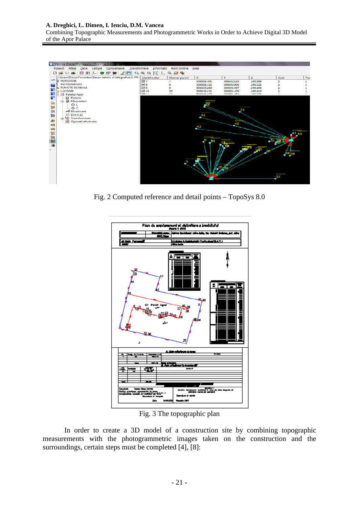#### **A. Dreghici, L. Dimen, I. Ienciu, D.M. Vancea**

Combining Topographic Measurements and Photogrammetric Works in Order to Achieve Digital 3D Model of the Apor Palace



Fig. 2 Computed reference and detail points – TopoSys 8.0



Fig. 3 The topographic plan

In order to create a 3D model of a construction site by combining topographic measurements with the photogrammetric images taken on the construction and the surroundings, certain steps must be completed [4], [8]: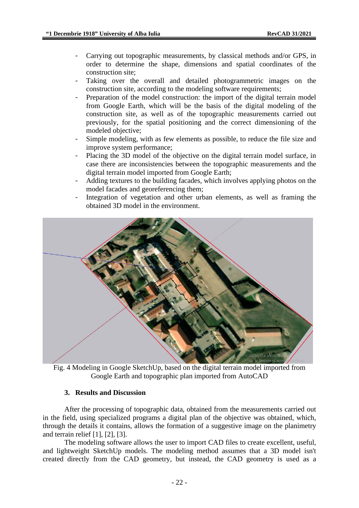- Carrying out topographic measurements, by classical methods and/or GPS, in order to determine the shape, dimensions and spatial coordinates of the construction site;
- Taking over the overall and detailed photogrammetric images on the construction site, according to the modeling software requirements;
- Preparation of the model construction: the import of the digital terrain model from Google Earth, which will be the basis of the digital modeling of the construction site, as well as of the topographic measurements carried out previously, for the spatial positioning and the correct dimensioning of the modeled objective;
- Simple modeling, with as few elements as possible, to reduce the file size and improve system performance;
- Placing the 3D model of the objective on the digital terrain model surface, in case there are inconsistencies between the topographic measurements and the digital terrain model imported from Google Earth;
- Adding textures to the building facades, which involves applying photos on the model facades and georeferencing them;
- Integration of vegetation and other urban elements, as well as framing the obtained 3D model in the environment.



Fig. 4 Modeling in Google SketchUp, based on the digital terrain model imported from Google Earth and topographic plan imported from AutoCAD

# **3. Results and Discussion**

After the processing of topographic data, obtained from the measurements carried out in the field, using specialized programs a digital plan of the objective was obtained, which, through the details it contains, allows the formation of a suggestive image on the planimetry and terrain relief [1], [2], [3].

The modeling software allows the user to import CAD files to create excellent, useful, and lightweight SketchUp models. The modeling method assumes that a 3D model isn't created directly from the CAD geometry, but instead, the CAD geometry is used as a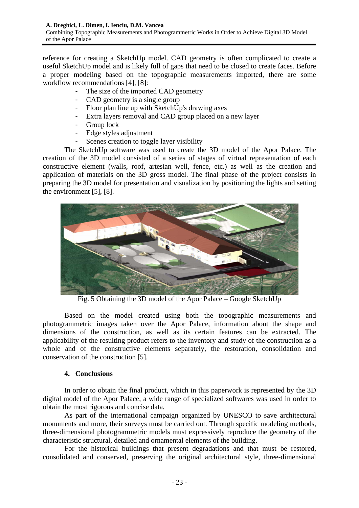reference for creating a SketchUp model. CAD geometry is often complicated to create a useful SketchUp model and is likely full of gaps that need to be closed to create faces. Before a proper modeling based on the topographic measurements imported, there are some workflow recommendations [4], [8]:

- The size of the imported CAD geometry
- CAD geometry is a single group
- Floor plan line up with SketchUp's drawing axes
- Extra layers removal and CAD group placed on a new layer<br>- Group lock
- Group lock
- Edge styles adjustment
- Scenes creation to toggle layer visibility

The SketchUp software was used to create the 3D model of the Apor Palace. The creation of the 3D model consisted of a series of stages of virtual representation of each constructive element (walls, roof, artesian well, fence, etc.) as well as the creation and application of materials on the 3D gross model. The final phase of the project consists in preparing the 3D model for presentation and visualization by positioning the lights and setting the environment [5], [8].



Fig. 5 Obtaining the 3D model of the Apor Palace – Google SketchUp

Based on the model created using both the topographic measurements and photogrammetric images taken over the Apor Palace, information about the shape and dimensions of the construction, as well as its certain features can be extracted. The applicability of the resulting product refers to the inventory and study of the construction as a whole and of the constructive elements separately, the restoration, consolidation and conservation of the construction [5].

### **4. Conclusions**

In order to obtain the final product, which in this paperwork is represented by the 3D digital model of the Apor Palace, a wide range of specialized softwares was used in order to obtain the most rigorous and concise data.

As part of the international campaign organized by UNESCO to save architectural monuments and more, their surveys must be carried out. Through specific modeling methods, three-dimensional photogrammetric models must expressively reproduce the geometry of the characteristic structural, detailed and ornamental elements of the building.

For the historical buildings that present degradations and that must be restored, consolidated and conserved, preserving the original architectural style, three-dimensional